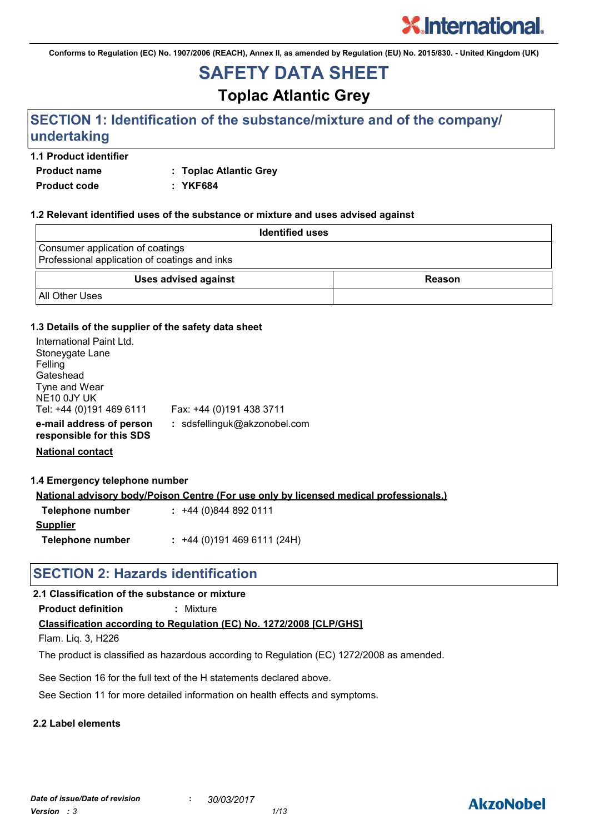**Conforms to Regulation (EC) No. 1907/2006 (REACH), Annex II, as amended by Regulation (EU) No. 2015/830. - United Kingdom (UK)**

## **SAFETY DATA SHEET**

## **Toplac Atlantic Grey**

## **SECTION 1: Identification of the substance/mixture and of the company/ undertaking**

#### **1.1 Product identifier**

**Product name : Toplac Atlantic Grey**

**Product code : YKF684**

#### **1.2 Relevant identified uses of the substance or mixture and uses advised against**

| <b>Identified uses</b>                                                            |               |
|-----------------------------------------------------------------------------------|---------------|
| Consumer application of coatings<br>Professional application of coatings and inks |               |
| <b>Uses advised against</b>                                                       | <b>Reason</b> |
| <b>All Other Uses</b>                                                             |               |

#### **1.3 Details of the supplier of the safety data sheet**

| International Paint Ltd.<br>Stoneygate Lane<br>Felling<br>Gateshead<br>Tyne and Wear<br>NE10 0JY UK<br>Tel: +44 (0)191 469 6111 | Fax: +44 (0)191 438 3711     |
|---------------------------------------------------------------------------------------------------------------------------------|------------------------------|
| e-mail address of person<br>responsible for this SDS                                                                            | : sdsfellinguk@akzonobel.com |

**National contact**

#### **1.4 Emergency telephone number**

**National advisory body/Poison Centre (For use only by licensed medical professionals.)**

| Telephone number | $: +44(0)8448920111$      |
|------------------|---------------------------|
| <b>Supplier</b>  |                           |
| Telephone number | $: +44(0)1914696111(24H)$ |

## **SECTION 2: Hazards identification**

#### **2.1 Classification of the substance or mixture**

**Product definition :** Mixture

### **Classification according to Regulation (EC) No. 1272/2008 [CLP/GHS]**

Flam. Liq. 3, H226

The product is classified as hazardous according to Regulation (EC) 1272/2008 as amended.

See Section 16 for the full text of the H statements declared above.

See Section 11 for more detailed information on health effects and symptoms.

### **2.2 Label elements**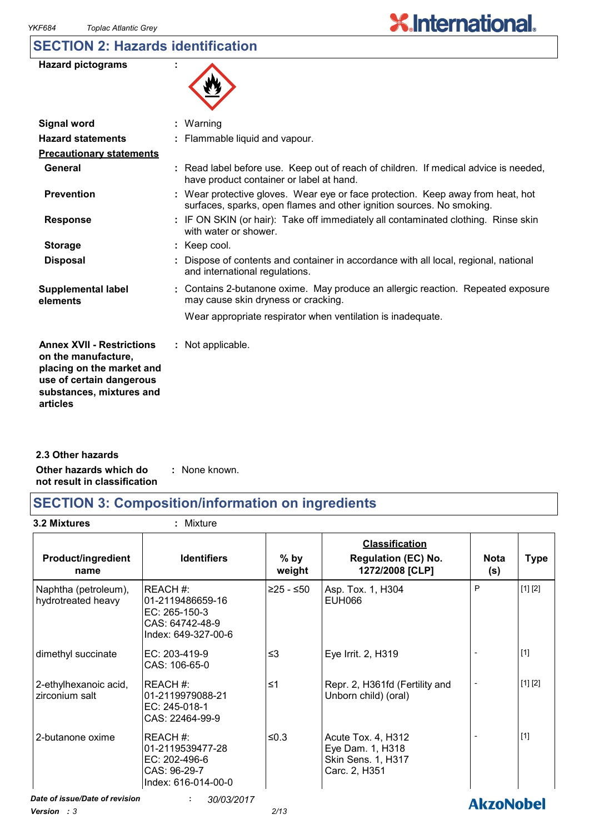## **SECTION 2: Hazards identification**

| <b>Hazard pictograms</b> |  |
|--------------------------|--|
|--------------------------|--|



| <b>Signal word</b>                                                                                                                                       | $:$ Warning                                                                                                                                              |
|----------------------------------------------------------------------------------------------------------------------------------------------------------|----------------------------------------------------------------------------------------------------------------------------------------------------------|
| <b>Hazard statements</b>                                                                                                                                 | : Flammable liquid and vapour.                                                                                                                           |
| <b>Precautionary statements</b>                                                                                                                          |                                                                                                                                                          |
| General                                                                                                                                                  | : Read label before use. Keep out of reach of children. If medical advice is needed,<br>have product container or label at hand.                         |
| <b>Prevention</b>                                                                                                                                        | : Wear protective gloves. Wear eye or face protection. Keep away from heat, hot<br>surfaces, sparks, open flames and other ignition sources. No smoking. |
| <b>Response</b>                                                                                                                                          | : IF ON SKIN (or hair): Take off immediately all contaminated clothing. Rinse skin<br>with water or shower.                                              |
| <b>Storage</b>                                                                                                                                           | : Keep cool.                                                                                                                                             |
| <b>Disposal</b>                                                                                                                                          | : Dispose of contents and container in accordance with all local, regional, national<br>and international regulations.                                   |
| <b>Supplemental label</b><br>elements                                                                                                                    | : Contains 2-butanone oxime. May produce an allergic reaction. Repeated exposure<br>may cause skin dryness or cracking.                                  |
|                                                                                                                                                          | Wear appropriate respirator when ventilation is inadequate.                                                                                              |
| <b>Annex XVII - Restrictions</b><br>on the manufacture,<br>placing on the market and<br>use of certain dangerous<br>substances, mixtures and<br>articles | : Not applicable.                                                                                                                                        |

**Other hazards which do : not result in classification** : None known. **2.3 Other hazards**

## **SECTION 3: Composition/information on ingredients**

**3.2 Mixtures :** Mixture

| <b>Product/ingredient</b><br>name          | <b>Identifiers</b>                                                                     | $%$ by<br>weight | <b>Classification</b><br><b>Regulation (EC) No.</b><br>1272/2008 [CLP]        | <b>Nota</b><br>(s)       | Type    |
|--------------------------------------------|----------------------------------------------------------------------------------------|------------------|-------------------------------------------------------------------------------|--------------------------|---------|
| Naphtha (petroleum),<br>hydrotreated heavy | REACH#:<br>01-2119486659-16<br>EC: 265-150-3<br>CAS: 64742-48-9<br>Index: 649-327-00-6 | ≥25 - ≤50        | Asp. Tox. 1, H304<br><b>EUH066</b>                                            | P                        | [1] [2] |
| dimethyl succinate                         | EC: 203-419-9<br>CAS: 106-65-0                                                         | ≤3               | Eye Irrit. 2, H319                                                            |                          | $[1]$   |
| 2-ethylhexanoic acid,<br>zirconium salt    | REACH #:<br>l01-2119979088-21<br>EC: 245-018-1<br>CAS: 22464-99-9                      | ≤1               | Repr. 2, H361fd (Fertility and<br>Unborn child) (oral)                        | $\overline{\phantom{a}}$ | [1] [2] |
| 2-butanone oxime                           | REACH #:<br>01-2119539477-28<br>EC: 202-496-6<br>CAS: 96-29-7<br>Index: 616-014-00-0   | ≤0.3             | Acute Tox. 4, H312<br>Eye Dam. 1, H318<br>Skin Sens. 1, H317<br>Carc. 2, H351 |                          | $[1]$   |

*Date of issue/Date of revision* **:** *30/03/2017 Version : 3 2/13*

**AkzoNobel**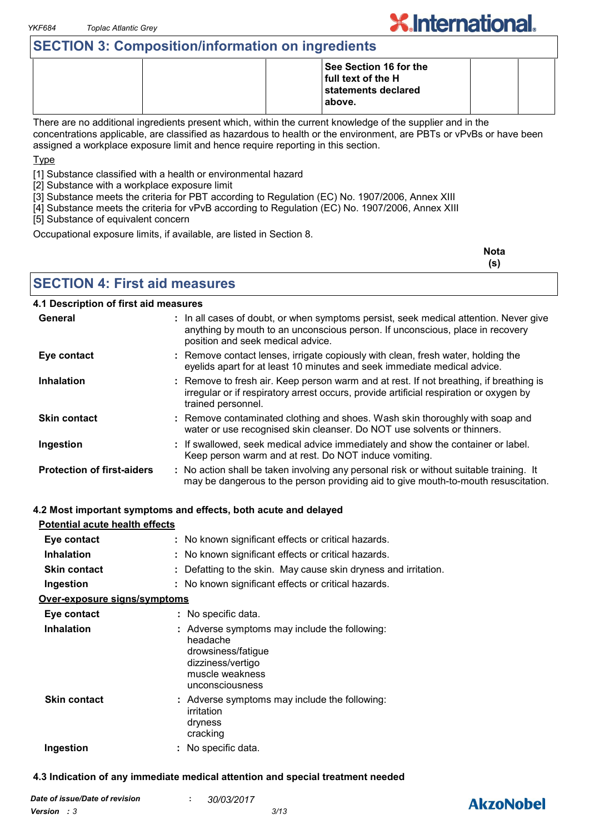## **SECTION 3: Composition/information on ingredients**

|  | - |                                                                                 |  |
|--|---|---------------------------------------------------------------------------------|--|
|  |   | See Section 16 for the<br>full text of the H<br>statements declared<br>l above. |  |

There are no additional ingredients present which, within the current knowledge of the supplier and in the concentrations applicable, are classified as hazardous to health or the environment, are PBTs or vPvBs or have been assigned a workplace exposure limit and hence require reporting in this section.

#### **Type**

[1] Substance classified with a health or environmental hazard

[2] Substance with a workplace exposure limit

[3] Substance meets the criteria for PBT according to Regulation (EC) No. 1907/2006, Annex XIII

[4] Substance meets the criteria for vPvB according to Regulation (EC) No. 1907/2006, Annex XIII

[5] Substance of equivalent concern

Occupational exposure limits, if available, are listed in Section 8.

| Nota |  |
|------|--|
| (s)  |  |

### **SECTION 4: First aid measures**

#### **4.1 Description of first aid measures**

| General                           | : In all cases of doubt, or when symptoms persist, seek medical attention. Never give<br>anything by mouth to an unconscious person. If unconscious, place in recovery<br>position and seek medical advice. |
|-----------------------------------|-------------------------------------------------------------------------------------------------------------------------------------------------------------------------------------------------------------|
| Eye contact                       | : Remove contact lenses, irrigate copiously with clean, fresh water, holding the<br>eyelids apart for at least 10 minutes and seek immediate medical advice.                                                |
| <b>Inhalation</b>                 | : Remove to fresh air. Keep person warm and at rest. If not breathing, if breathing is<br>irregular or if respiratory arrest occurs, provide artificial respiration or oxygen by<br>trained personnel.      |
| <b>Skin contact</b>               | : Remove contaminated clothing and shoes. Wash skin thoroughly with soap and<br>water or use recognised skin cleanser. Do NOT use solvents or thinners.                                                     |
| Ingestion                         | : If swallowed, seek medical advice immediately and show the container or label.<br>Keep person warm and at rest. Do NOT induce vomiting.                                                                   |
| <b>Protection of first-aiders</b> | : No action shall be taken involving any personal risk or without suitable training. It<br>may be dangerous to the person providing aid to give mouth-to-mouth resuscitation.                               |

#### **4.2 Most important symptoms and effects, both acute and delayed**

| Potential acute health effects |                                                                                                                                            |
|--------------------------------|--------------------------------------------------------------------------------------------------------------------------------------------|
| Eye contact                    | : No known significant effects or critical hazards.                                                                                        |
| <b>Inhalation</b>              | : No known significant effects or critical hazards.                                                                                        |
| <b>Skin contact</b>            | : Defatting to the skin. May cause skin dryness and irritation.                                                                            |
| Ingestion                      | : No known significant effects or critical hazards.                                                                                        |
| Over-exposure signs/symptoms   |                                                                                                                                            |
| Eye contact                    | : No specific data.                                                                                                                        |
| <b>Inhalation</b>              | : Adverse symptoms may include the following:<br>headache<br>drowsiness/fatigue<br>dizziness/vertigo<br>muscle weakness<br>unconsciousness |
| <b>Skin contact</b>            | : Adverse symptoms may include the following:<br>irritation<br>dryness<br>cracking                                                         |
| Ingestion                      | No specific data.                                                                                                                          |

#### **4.3 Indication of any immediate medical attention and special treatment needed**

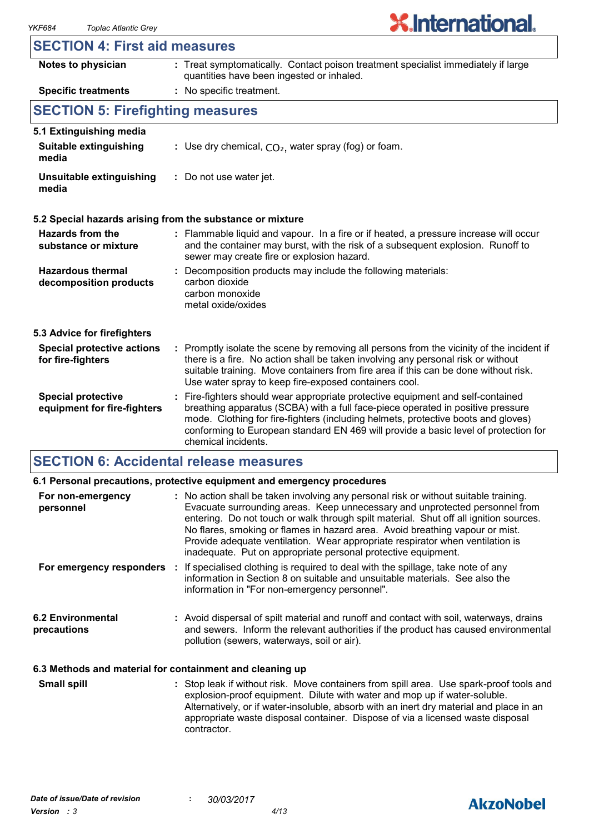| <b>SECTION 4: First aid measures</b> |  |  |  |
|--------------------------------------|--|--|--|
|--------------------------------------|--|--|--|

| Notes to physician                                       | : Treat symptomatically. Contact poison treatment specialist immediately if large<br>quantities have been ingested or inhaled.                                                                                                                                                                                                                                        |  |  |  |
|----------------------------------------------------------|-----------------------------------------------------------------------------------------------------------------------------------------------------------------------------------------------------------------------------------------------------------------------------------------------------------------------------------------------------------------------|--|--|--|
| <b>Specific treatments</b>                               | : No specific treatment.                                                                                                                                                                                                                                                                                                                                              |  |  |  |
| <b>SECTION 5: Firefighting measures</b>                  |                                                                                                                                                                                                                                                                                                                                                                       |  |  |  |
| 5.1 Extinguishing media                                  |                                                                                                                                                                                                                                                                                                                                                                       |  |  |  |
| <b>Suitable extinguishing</b><br>media                   | : Use dry chemical, $CO2$ , water spray (fog) or foam.                                                                                                                                                                                                                                                                                                                |  |  |  |
| Unsuitable extinguishing<br>media                        | : Do not use water jet.                                                                                                                                                                                                                                                                                                                                               |  |  |  |
|                                                          | 5.2 Special hazards arising from the substance or mixture                                                                                                                                                                                                                                                                                                             |  |  |  |
| Hazards from the<br>substance or mixture                 | : Flammable liquid and vapour. In a fire or if heated, a pressure increase will occur<br>and the container may burst, with the risk of a subsequent explosion. Runoff to<br>sewer may create fire or explosion hazard.                                                                                                                                                |  |  |  |
| <b>Hazardous thermal</b><br>decomposition products       | Decomposition products may include the following materials:<br>carbon dioxide<br>carbon monoxide<br>metal oxide/oxides                                                                                                                                                                                                                                                |  |  |  |
| 5.3 Advice for firefighters                              |                                                                                                                                                                                                                                                                                                                                                                       |  |  |  |
| <b>Special protective actions</b><br>for fire-fighters   | : Promptly isolate the scene by removing all persons from the vicinity of the incident if<br>there is a fire. No action shall be taken involving any personal risk or without<br>suitable training. Move containers from fire area if this can be done without risk.<br>Use water spray to keep fire-exposed containers cool.                                         |  |  |  |
| <b>Special protective</b><br>equipment for fire-fighters | : Fire-fighters should wear appropriate protective equipment and self-contained<br>breathing apparatus (SCBA) with a full face-piece operated in positive pressure<br>mode. Clothing for fire-fighters (including helmets, protective boots and gloves)<br>conforming to European standard EN 469 will provide a basic level of protection for<br>chemical incidents. |  |  |  |

## **SECTION 6: Accidental release measures**

|                                                          | 6.1 Personal precautions, protective equipment and emergency procedures                                                                                                                                                                                                                                                                                                                                                                                                                        |
|----------------------------------------------------------|------------------------------------------------------------------------------------------------------------------------------------------------------------------------------------------------------------------------------------------------------------------------------------------------------------------------------------------------------------------------------------------------------------------------------------------------------------------------------------------------|
| For non-emergency<br>personnel                           | : No action shall be taken involving any personal risk or without suitable training.<br>Evacuate surrounding areas. Keep unnecessary and unprotected personnel from<br>entering. Do not touch or walk through spilt material. Shut off all ignition sources.<br>No flares, smoking or flames in hazard area. Avoid breathing vapour or mist.<br>Provide adequate ventilation. Wear appropriate respirator when ventilation is<br>inadequate. Put on appropriate personal protective equipment. |
|                                                          | For emergency responders : If specialised clothing is required to deal with the spillage, take note of any<br>information in Section 8 on suitable and unsuitable materials. See also the<br>information in "For non-emergency personnel".                                                                                                                                                                                                                                                     |
| <b>6.2 Environmental</b><br>precautions                  | : Avoid dispersal of spilt material and runoff and contact with soil, waterways, drains<br>and sewers. Inform the relevant authorities if the product has caused environmental<br>pollution (sewers, waterways, soil or air).                                                                                                                                                                                                                                                                  |
| 6.3 Methods and material for containment and cleaning up |                                                                                                                                                                                                                                                                                                                                                                                                                                                                                                |
| <b>A - U. -  !!!</b>                                     |                                                                                                                                                                                                                                                                                                                                                                                                                                                                                                |

Stop leak if without risk. Move containers from spill area. Use spark-proof tools and explosion-proof equipment. Dilute with water and mop up if water-soluble. Alternatively, or if water-insoluble, absorb with an inert dry material and place in an appropriate waste disposal container. Dispose of via a licensed waste disposal contractor. **Small spill :**

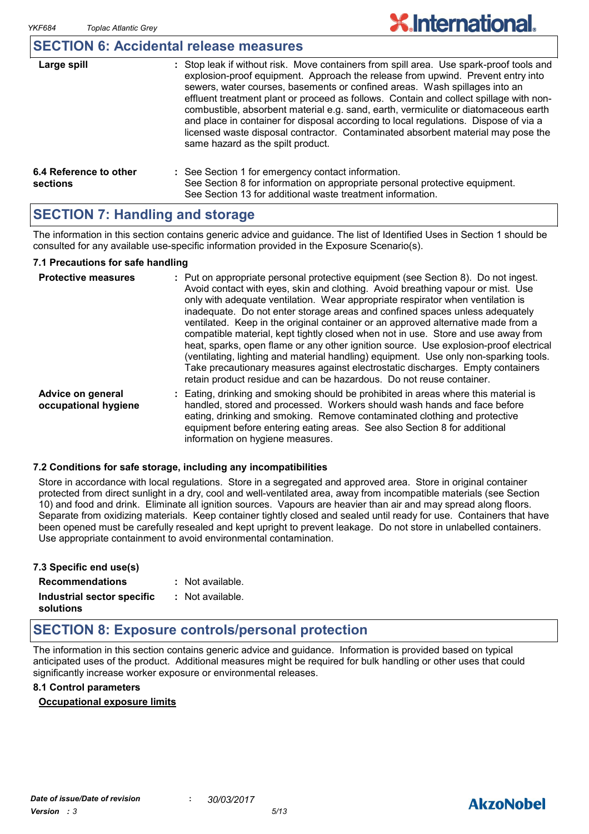## **SECTION 6: Accidental release measures**

| Large spill                        | : Stop leak if without risk. Move containers from spill area. Use spark-proof tools and<br>explosion-proof equipment. Approach the release from upwind. Prevent entry into<br>sewers, water courses, basements or confined areas. Wash spillages into an<br>effluent treatment plant or proceed as follows. Contain and collect spillage with non-<br>combustible, absorbent material e.g. sand, earth, vermiculite or diatomaceous earth<br>and place in container for disposal according to local regulations. Dispose of via a<br>licensed waste disposal contractor. Contaminated absorbent material may pose the<br>same hazard as the spilt product. |
|------------------------------------|------------------------------------------------------------------------------------------------------------------------------------------------------------------------------------------------------------------------------------------------------------------------------------------------------------------------------------------------------------------------------------------------------------------------------------------------------------------------------------------------------------------------------------------------------------------------------------------------------------------------------------------------------------|
| 6.4 Reference to other<br>sections | : See Section 1 for emergency contact information.<br>See Section 8 for information on appropriate personal protective equipment.<br>See Section 13 for additional waste treatment information.                                                                                                                                                                                                                                                                                                                                                                                                                                                            |

## **SECTION 7: Handling and storage**

The information in this section contains generic advice and guidance. The list of Identified Uses in Section 1 should be consulted for any available use-specific information provided in the Exposure Scenario(s).

#### **7.1 Precautions for safe handling**

| <b>Protective measures</b>                | : Put on appropriate personal protective equipment (see Section 8). Do not ingest.<br>Avoid contact with eyes, skin and clothing. Avoid breathing vapour or mist. Use<br>only with adequate ventilation. Wear appropriate respirator when ventilation is<br>inadequate. Do not enter storage areas and confined spaces unless adequately<br>ventilated. Keep in the original container or an approved alternative made from a<br>compatible material, kept tightly closed when not in use. Store and use away from<br>heat, sparks, open flame or any other ignition source. Use explosion-proof electrical<br>(ventilating, lighting and material handling) equipment. Use only non-sparking tools.<br>Take precautionary measures against electrostatic discharges. Empty containers<br>retain product residue and can be hazardous. Do not reuse container. |
|-------------------------------------------|----------------------------------------------------------------------------------------------------------------------------------------------------------------------------------------------------------------------------------------------------------------------------------------------------------------------------------------------------------------------------------------------------------------------------------------------------------------------------------------------------------------------------------------------------------------------------------------------------------------------------------------------------------------------------------------------------------------------------------------------------------------------------------------------------------------------------------------------------------------|
| Advice on general<br>occupational hygiene | : Eating, drinking and smoking should be prohibited in areas where this material is<br>handled, stored and processed. Workers should wash hands and face before<br>eating, drinking and smoking. Remove contaminated clothing and protective<br>equipment before entering eating areas. See also Section 8 for additional<br>information on hygiene measures.                                                                                                                                                                                                                                                                                                                                                                                                                                                                                                  |

#### **7.2 Conditions for safe storage, including any incompatibilities**

Store in accordance with local regulations. Store in a segregated and approved area. Store in original container protected from direct sunlight in a dry, cool and well-ventilated area, away from incompatible materials (see Section 10) and food and drink. Eliminate all ignition sources. Vapours are heavier than air and may spread along floors. Separate from oxidizing materials. Keep container tightly closed and sealed until ready for use. Containers that have been opened must be carefully resealed and kept upright to prevent leakage. Do not store in unlabelled containers. Use appropriate containment to avoid environmental contamination.

| 7.3 Specific end use(s)    |                    |
|----------------------------|--------------------|
| <b>Recommendations</b>     | : Not available.   |
| Industrial sector specific | $:$ Not available. |
| solutions                  |                    |

## **SECTION 8: Exposure controls/personal protection**

The information in this section contains generic advice and guidance. Information is provided based on typical anticipated uses of the product. Additional measures might be required for bulk handling or other uses that could significantly increase worker exposure or environmental releases.

#### **8.1 Control parameters**

#### **Occupational exposure limits**

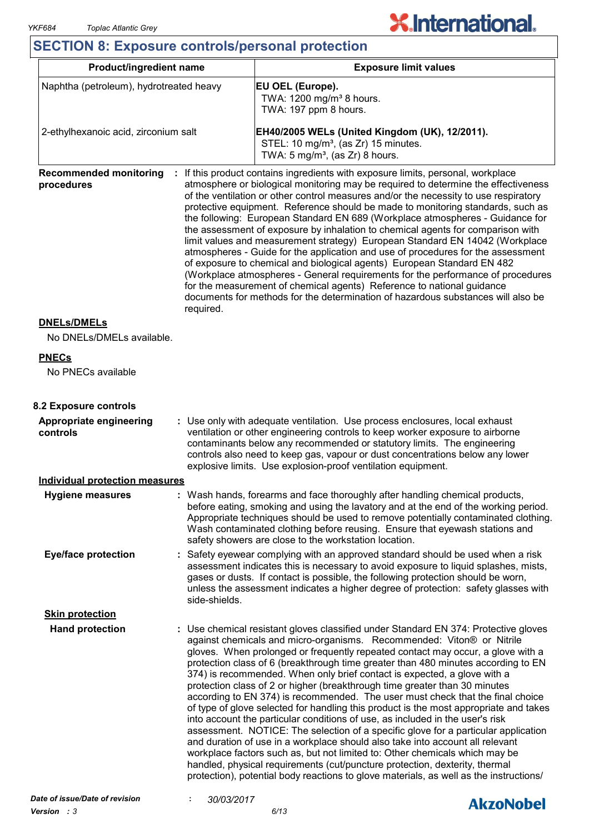## **X.International.**

## **SECTION 8: Exposure controls/personal protection**

| <b>Product/ingredient name</b>                                                                                                                                                                                                                                                                                                                                                                |  | <b>Exposure limit values</b>                                                                                                                                                                                                                                                                                                                                                                                                                                                                                                                                                                                                                                                                                                                                                                                                                                                                                                                                                                                                                                                                                                                                                              |  |  |
|-----------------------------------------------------------------------------------------------------------------------------------------------------------------------------------------------------------------------------------------------------------------------------------------------------------------------------------------------------------------------------------------------|--|-------------------------------------------------------------------------------------------------------------------------------------------------------------------------------------------------------------------------------------------------------------------------------------------------------------------------------------------------------------------------------------------------------------------------------------------------------------------------------------------------------------------------------------------------------------------------------------------------------------------------------------------------------------------------------------------------------------------------------------------------------------------------------------------------------------------------------------------------------------------------------------------------------------------------------------------------------------------------------------------------------------------------------------------------------------------------------------------------------------------------------------------------------------------------------------------|--|--|
| Naphtha (petroleum), hydrotreated heavy<br>2-ethylhexanoic acid, zirconium salt                                                                                                                                                                                                                                                                                                               |  | EU OEL (Europe).<br>TWA: 1200 mg/m <sup>3</sup> 8 hours.<br>TWA: 197 ppm 8 hours.                                                                                                                                                                                                                                                                                                                                                                                                                                                                                                                                                                                                                                                                                                                                                                                                                                                                                                                                                                                                                                                                                                         |  |  |
|                                                                                                                                                                                                                                                                                                                                                                                               |  | EH40/2005 WELs (United Kingdom (UK), 12/2011).<br>STEL: 10 mg/m <sup>3</sup> , (as Zr) 15 minutes.<br>TWA: $5 \text{ mg/m}^3$ , (as Zr) 8 hours.                                                                                                                                                                                                                                                                                                                                                                                                                                                                                                                                                                                                                                                                                                                                                                                                                                                                                                                                                                                                                                          |  |  |
| <b>Recommended monitoring</b><br>procedures<br>required.                                                                                                                                                                                                                                                                                                                                      |  | If this product contains ingredients with exposure limits, personal, workplace<br>atmosphere or biological monitoring may be required to determine the effectiveness<br>of the ventilation or other control measures and/or the necessity to use respiratory<br>protective equipment. Reference should be made to monitoring standards, such as<br>the following: European Standard EN 689 (Workplace atmospheres - Guidance for<br>the assessment of exposure by inhalation to chemical agents for comparison with<br>limit values and measurement strategy) European Standard EN 14042 (Workplace<br>atmospheres - Guide for the application and use of procedures for the assessment<br>of exposure to chemical and biological agents) European Standard EN 482<br>(Workplace atmospheres - General requirements for the performance of procedures<br>for the measurement of chemical agents) Reference to national guidance<br>documents for methods for the determination of hazardous substances will also be                                                                                                                                                                       |  |  |
| <b>DNELs/DMELs</b>                                                                                                                                                                                                                                                                                                                                                                            |  |                                                                                                                                                                                                                                                                                                                                                                                                                                                                                                                                                                                                                                                                                                                                                                                                                                                                                                                                                                                                                                                                                                                                                                                           |  |  |
| No DNELs/DMELs available.                                                                                                                                                                                                                                                                                                                                                                     |  |                                                                                                                                                                                                                                                                                                                                                                                                                                                                                                                                                                                                                                                                                                                                                                                                                                                                                                                                                                                                                                                                                                                                                                                           |  |  |
| <b>PNECs</b>                                                                                                                                                                                                                                                                                                                                                                                  |  |                                                                                                                                                                                                                                                                                                                                                                                                                                                                                                                                                                                                                                                                                                                                                                                                                                                                                                                                                                                                                                                                                                                                                                                           |  |  |
| No PNECs available                                                                                                                                                                                                                                                                                                                                                                            |  |                                                                                                                                                                                                                                                                                                                                                                                                                                                                                                                                                                                                                                                                                                                                                                                                                                                                                                                                                                                                                                                                                                                                                                                           |  |  |
| 8.2 Exposure controls                                                                                                                                                                                                                                                                                                                                                                         |  |                                                                                                                                                                                                                                                                                                                                                                                                                                                                                                                                                                                                                                                                                                                                                                                                                                                                                                                                                                                                                                                                                                                                                                                           |  |  |
| <b>Appropriate engineering</b><br>controls                                                                                                                                                                                                                                                                                                                                                    |  | : Use only with adequate ventilation. Use process enclosures, local exhaust<br>ventilation or other engineering controls to keep worker exposure to airborne<br>contaminants below any recommended or statutory limits. The engineering<br>controls also need to keep gas, vapour or dust concentrations below any lower<br>explosive limits. Use explosion-proof ventilation equipment.                                                                                                                                                                                                                                                                                                                                                                                                                                                                                                                                                                                                                                                                                                                                                                                                  |  |  |
| <b>Individual protection measures</b>                                                                                                                                                                                                                                                                                                                                                         |  |                                                                                                                                                                                                                                                                                                                                                                                                                                                                                                                                                                                                                                                                                                                                                                                                                                                                                                                                                                                                                                                                                                                                                                                           |  |  |
| <b>Hygiene measures</b>                                                                                                                                                                                                                                                                                                                                                                       |  | : Wash hands, forearms and face thoroughly after handling chemical products,<br>before eating, smoking and using the lavatory and at the end of the working period.<br>Appropriate techniques should be used to remove potentially contaminated clothing.<br>Wash contaminated clothing before reusing. Ensure that eyewash stations and<br>safety showers are close to the workstation location.                                                                                                                                                                                                                                                                                                                                                                                                                                                                                                                                                                                                                                                                                                                                                                                         |  |  |
| <b>Eye/face protection</b><br>Safety eyewear complying with an approved standard should be used when a risk<br>assessment indicates this is necessary to avoid exposure to liquid splashes, mists,<br>gases or dusts. If contact is possible, the following protection should be worn,<br>unless the assessment indicates a higher degree of protection: safety glasses with<br>side-shields. |  |                                                                                                                                                                                                                                                                                                                                                                                                                                                                                                                                                                                                                                                                                                                                                                                                                                                                                                                                                                                                                                                                                                                                                                                           |  |  |
| <b>Skin protection</b>                                                                                                                                                                                                                                                                                                                                                                        |  |                                                                                                                                                                                                                                                                                                                                                                                                                                                                                                                                                                                                                                                                                                                                                                                                                                                                                                                                                                                                                                                                                                                                                                                           |  |  |
| <b>Hand protection</b>                                                                                                                                                                                                                                                                                                                                                                        |  | : Use chemical resistant gloves classified under Standard EN 374: Protective gloves<br>against chemicals and micro-organisms. Recommended: Viton® or Nitrile<br>gloves. When prolonged or frequently repeated contact may occur, a glove with a<br>protection class of 6 (breakthrough time greater than 480 minutes according to EN<br>374) is recommended. When only brief contact is expected, a glove with a<br>protection class of 2 or higher (breakthrough time greater than 30 minutes<br>according to EN 374) is recommended. The user must check that the final choice<br>of type of glove selected for handling this product is the most appropriate and takes<br>into account the particular conditions of use, as included in the user's risk<br>assessment. NOTICE: The selection of a specific glove for a particular application<br>and duration of use in a workplace should also take into account all relevant<br>workplace factors such as, but not limited to: Other chemicals which may be<br>handled, physical requirements (cut/puncture protection, dexterity, thermal<br>protection), potential body reactions to glove materials, as well as the instructions/ |  |  |

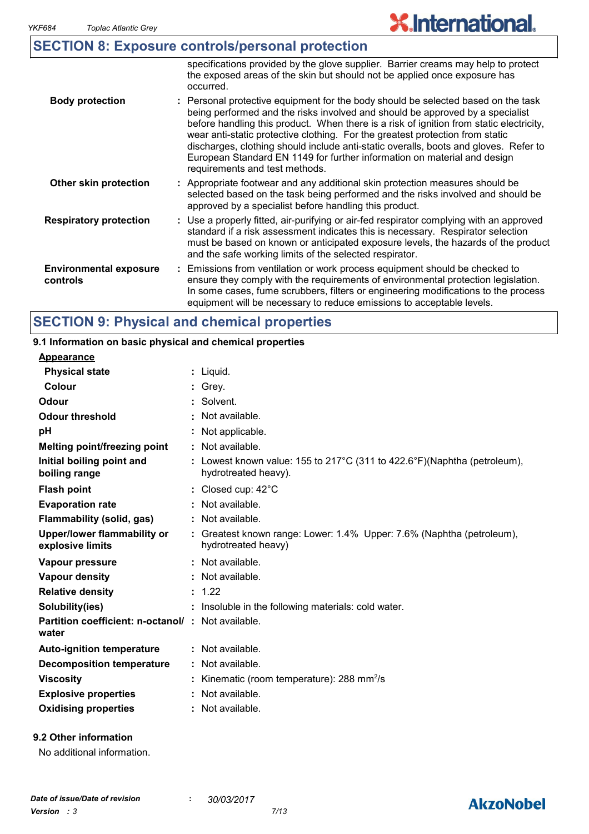|  | <b>SECTION 8: Exposure controls/personal protection</b> |  |  |
|--|---------------------------------------------------------|--|--|
|--|---------------------------------------------------------|--|--|

|                                           | specifications provided by the glove supplier. Barrier creams may help to protect<br>the exposed areas of the skin but should not be applied once exposure has<br>occurred.                                                                                                                                                                                                                                                                                                                                                                          |
|-------------------------------------------|------------------------------------------------------------------------------------------------------------------------------------------------------------------------------------------------------------------------------------------------------------------------------------------------------------------------------------------------------------------------------------------------------------------------------------------------------------------------------------------------------------------------------------------------------|
| <b>Body protection</b>                    | : Personal protective equipment for the body should be selected based on the task<br>being performed and the risks involved and should be approved by a specialist<br>before handling this product. When there is a risk of ignition from static electricity,<br>wear anti-static protective clothing. For the greatest protection from static<br>discharges, clothing should include anti-static overalls, boots and gloves. Refer to<br>European Standard EN 1149 for further information on material and design<br>requirements and test methods. |
| Other skin protection                     | : Appropriate footwear and any additional skin protection measures should be<br>selected based on the task being performed and the risks involved and should be<br>approved by a specialist before handling this product.                                                                                                                                                                                                                                                                                                                            |
| <b>Respiratory protection</b>             | : Use a properly fitted, air-purifying or air-fed respirator complying with an approved<br>standard if a risk assessment indicates this is necessary. Respirator selection<br>must be based on known or anticipated exposure levels, the hazards of the product<br>and the safe working limits of the selected respirator.                                                                                                                                                                                                                           |
| <b>Environmental exposure</b><br>controls | : Emissions from ventilation or work process equipment should be checked to<br>ensure they comply with the requirements of environmental protection legislation.<br>In some cases, fume scrubbers, filters or engineering modifications to the process<br>equipment will be necessary to reduce emissions to acceptable levels.                                                                                                                                                                                                                      |

## **SECTION 9: Physical and chemical properties**

| 9.1 Information on basic physical and chemical properties          |                                                                                                  |
|--------------------------------------------------------------------|--------------------------------------------------------------------------------------------------|
| <b>Appearance</b>                                                  |                                                                                                  |
| <b>Physical state</b>                                              | : Liquid.                                                                                        |
| <b>Colour</b>                                                      | $:$ Grey.                                                                                        |
| Odour                                                              | : Solvent.                                                                                       |
| <b>Odour threshold</b>                                             | : Not available.                                                                                 |
| pH                                                                 | Not applicable.                                                                                  |
| <b>Melting point/freezing point</b>                                | Not available.                                                                                   |
| Initial boiling point and<br>boiling range                         | : Lowest known value: 155 to 217°C (311 to 422.6°F)(Naphtha (petroleum),<br>hydrotreated heavy). |
| <b>Flash point</b>                                                 | $\therefore$ Closed cup: 42 $\degree$ C                                                          |
| <b>Evaporation rate</b>                                            | Not available.                                                                                   |
| Flammability (solid, gas)                                          | : Not available.                                                                                 |
| <b>Upper/lower flammability or</b><br>explosive limits             | : Greatest known range: Lower: 1.4% Upper: 7.6% (Naphtha (petroleum),<br>hydrotreated heavy)     |
| Vapour pressure                                                    | : Not available.                                                                                 |
| <b>Vapour density</b>                                              | : Not available.                                                                                 |
| <b>Relative density</b>                                            | : 1.22                                                                                           |
| Solubility(ies)                                                    | : Insoluble in the following materials: cold water.                                              |
| <b>Partition coefficient: n-octanol/ : Not available.</b><br>water |                                                                                                  |
| <b>Auto-ignition temperature</b>                                   | : Not available.                                                                                 |
| <b>Decomposition temperature</b>                                   | : Not available.                                                                                 |
| <b>Viscosity</b>                                                   | Kinematic (room temperature): 288 mm <sup>2</sup> /s                                             |
| <b>Explosive properties</b>                                        | Not available.                                                                                   |
| <b>Oxidising properties</b>                                        | Not available.                                                                                   |
|                                                                    |                                                                                                  |

#### **9.2 Other information**

No additional information.

## **AkzoNobel**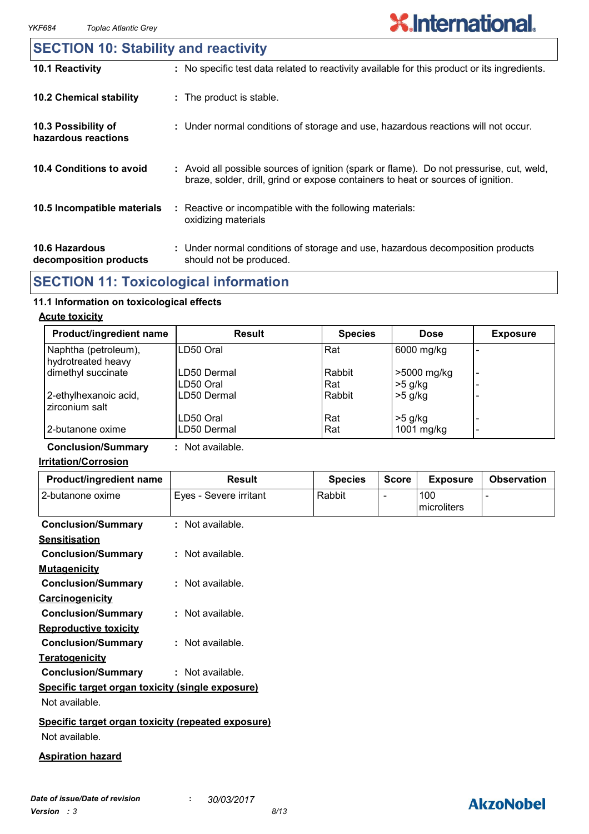### **10.6 Hazardous decomposition products 10.4 Conditions to avoid** : Avoid all possible sources of ignition (spark or flame). Do not pressurise, cut, weld, braze, solder, drill, grind or expose containers to heat or sources of ignition. Under normal conditions of storage and use, hazardous decomposition products **:** should not be produced. **10.2 Chemical stability** : Reactive or incompatible with the following materials: oxidizing materials **: 10.5 Incompatible materials : 10.3 Possibility of hazardous reactions :** Under normal conditions of storage and use, hazardous reactions will not occur. **SECTION 10: Stability and reactivity 10.1 Reactivity :** No specific test data related to reactivity available for this product or its ingredients.

## **SECTION 11: Toxicological information**

#### **11.1 Information on toxicological effects**

#### **Acute toxicity**

| Product/ingredient name                    | <b>Result</b>            | <b>Species</b> | <b>Dose</b>              | <b>Exposure</b>               |
|--------------------------------------------|--------------------------|----------------|--------------------------|-------------------------------|
| Naphtha (petroleum),<br>hydrotreated heavy | LD50 Oral                | Rat            | 6000 mg/kg               |                               |
| dimethyl succinate                         | LD50 Dermal<br>LD50 Oral | Rabbit<br>Rat  | >5000 mg/kg<br>$>5$ g/kg | $\overline{\phantom{0}}$<br>- |
| 2-ethylhexanoic acid,<br>zirconium salt    | LD50 Dermal              | Rabbit         | $>5$ g/kg                |                               |
| 2-butanone oxime                           | LD50 Oral<br>LD50 Dermal | Rat<br>Rat     | $>5$ g/kg<br>1001 mg/kg  | -<br>$\overline{\phantom{0}}$ |

#### **Conclusion/Summary :** Not available.

#### **Irritation/Corrosion**

| Product/ingredient name                            | <b>Result</b>          | <b>Species</b> | <b>Score</b>             | <b>Exposure</b>    | <b>Observation</b> |
|----------------------------------------------------|------------------------|----------------|--------------------------|--------------------|--------------------|
| 2-butanone oxime                                   | Eyes - Severe irritant | Rabbit         | $\overline{\phantom{a}}$ | 100<br>microliters |                    |
| <b>Conclusion/Summary</b>                          | : Not available.       |                |                          |                    |                    |
| <b>Sensitisation</b>                               |                        |                |                          |                    |                    |
| <b>Conclusion/Summary</b>                          | : Not available.       |                |                          |                    |                    |
| <b>Mutagenicity</b>                                |                        |                |                          |                    |                    |
| <b>Conclusion/Summary</b>                          | : Not available.       |                |                          |                    |                    |
| Carcinogenicity                                    |                        |                |                          |                    |                    |
| <b>Conclusion/Summary</b>                          | : Not available.       |                |                          |                    |                    |
| <b>Reproductive toxicity</b>                       |                        |                |                          |                    |                    |
| <b>Conclusion/Summary</b>                          | : Not available.       |                |                          |                    |                    |
| <b>Teratogenicity</b>                              |                        |                |                          |                    |                    |
| <b>Conclusion/Summary</b>                          | : Not available.       |                |                          |                    |                    |
| Specific target organ toxicity (single exposure)   |                        |                |                          |                    |                    |
| Not available.                                     |                        |                |                          |                    |                    |
| Specific target organ toxicity (repeated exposure) |                        |                |                          |                    |                    |
| Not available.                                     |                        |                |                          |                    |                    |

#### **Aspiration hazard**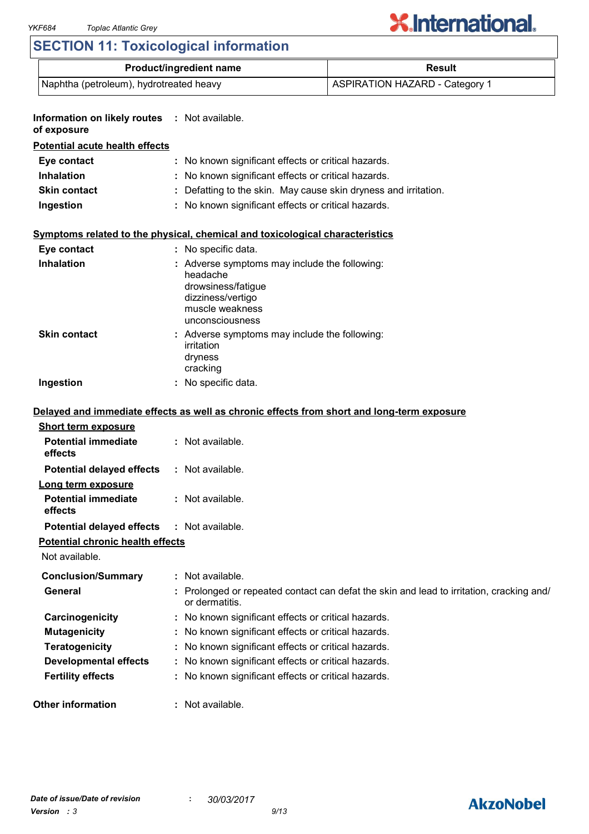# **X.International.**

## **SECTION 11: Toxicological information**

| <b>Product/ingredient name</b>          | Result                                |
|-----------------------------------------|---------------------------------------|
| Naphtha (petroleum), hydrotreated heavy | <b>ASPIRATION HAZARD - Category 1</b> |

| Information on likely routes : Not available.<br>of exposure |                                                                                                                                            |
|--------------------------------------------------------------|--------------------------------------------------------------------------------------------------------------------------------------------|
| <b>Potential acute health effects</b>                        |                                                                                                                                            |
| Eye contact                                                  | : No known significant effects or critical hazards.                                                                                        |
| <b>Inhalation</b>                                            | : No known significant effects or critical hazards.                                                                                        |
| <b>Skin contact</b>                                          | Defatting to the skin. May cause skin dryness and irritation.                                                                              |
| Ingestion                                                    | : No known significant effects or critical hazards.                                                                                        |
|                                                              | Symptoms related to the physical, chemical and toxicological characteristics                                                               |
| Eye contact                                                  | : No specific data.                                                                                                                        |
| <b>Inhalation</b>                                            | : Adverse symptoms may include the following:<br>headache<br>drowsiness/fatigue<br>dizziness/vertigo<br>muscle weakness<br>unconsciousness |
| <b>Skin contact</b>                                          | : Adverse symptoms may include the following:<br>irritation<br>dryness<br>cracking                                                         |
| Ingestion                                                    | : No specific data.                                                                                                                        |
| <b>Short term exposure</b><br><b>Potential immediate</b>     | Delayed and immediate effects as well as chronic effects from short and long-term exposure<br>: Not available.                             |
| effects                                                      |                                                                                                                                            |
| <b>Potential delayed effects</b>                             | : Not available.                                                                                                                           |
| Long term exposure                                           |                                                                                                                                            |
| <b>Potential immediate</b><br>effects                        | : Not available.                                                                                                                           |
| <b>Potential delayed effects</b>                             | : Not available.                                                                                                                           |
| <b>Potential chronic health effects</b><br>Not available.    |                                                                                                                                            |
| <b>Conclusion/Summary</b>                                    | : Not available.                                                                                                                           |
| <b>General</b>                                               | Prolonged or repeated contact can defat the skin and lead to irritation, cracking and/<br>or dermatitis.                                   |
| Carcinogenicity                                              | : No known significant effects or critical hazards.                                                                                        |
| <b>Mutagenicity</b>                                          | : No known significant effects or critical hazards.                                                                                        |
| <b>Teratogenicity</b>                                        | : No known significant effects or critical hazards.                                                                                        |
| <b>Developmental effects</b>                                 | : No known significant effects or critical hazards.                                                                                        |
| <b>Fertility effects</b>                                     | : No known significant effects or critical hazards.                                                                                        |
| <b>Other information</b>                                     | Not available.                                                                                                                             |

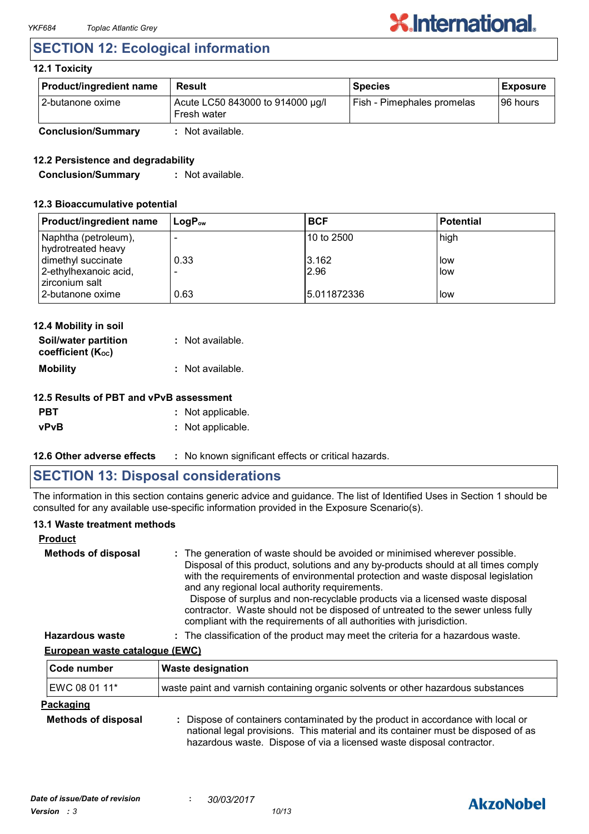## **SECTION 12: Ecological information**

#### **12.1 Toxicity**

| <b>Product/ingredient name</b> | <b>Result</b>                                   | <b>Species</b>             | <b>Exposure</b> |
|--------------------------------|-------------------------------------------------|----------------------------|-----------------|
| l 2-butanone oxime             | Acute LC50 843000 to 914000 µg/l<br>Fresh water | Fish - Pimephales promelas | 196 hours       |
| <b>Conclusion/Summary</b>      | : Not available.                                |                            |                 |

#### **12.2 Persistence and degradability**

**Conclusion/Summary :** Not available.

#### **12.3 Bioaccumulative potential**

| <b>Product/ingredient name</b>              | $\mathsf{LocP}_\infty$ | <b>BCF</b>    | <b>Potential</b> |
|---------------------------------------------|------------------------|---------------|------------------|
| Naphtha (petroleum),<br>hydrotreated heavy  |                        | l10 to 2500   | high             |
| dimethyl succinate<br>2-ethylhexanoic acid, | 0.33                   | 3.162<br>2.96 | low<br>low       |
| zirconium salt<br>2-butanone oxime          | 0.63                   | 15.011872336  | low              |

| 12.4 Mobility in soil                     |                  |
|-------------------------------------------|------------------|
| Soil/water partition<br>coefficient (Koc) | : Not available. |
| <b>Mobility</b>                           | : Not available. |

| <b>PBT</b>  | : Not applicable. |
|-------------|-------------------|
| <b>vPvB</b> | : Not applicable. |

**12.6 Other adverse effects** : No known significant effects or critical hazards.

## **SECTION 13: Disposal considerations**

The information in this section contains generic advice and guidance. The list of Identified Uses in Section 1 should be consulted for any available use-specific information provided in the Exposure Scenario(s).

#### **13.1 Waste treatment methods**

| <b>Product</b>             |                                                                                                                                                                                                                                                                                                                                                                                                                                                                                                                                                     |
|----------------------------|-----------------------------------------------------------------------------------------------------------------------------------------------------------------------------------------------------------------------------------------------------------------------------------------------------------------------------------------------------------------------------------------------------------------------------------------------------------------------------------------------------------------------------------------------------|
| <b>Methods of disposal</b> | : The generation of waste should be avoided or minimised wherever possible.<br>Disposal of this product, solutions and any by-products should at all times comply<br>with the requirements of environmental protection and waste disposal legislation<br>and any regional local authority requirements.<br>Dispose of surplus and non-recyclable products via a licensed waste disposal<br>contractor. Waste should not be disposed of untreated to the sewer unless fully<br>compliant with the requirements of all authorities with jurisdiction. |
| <b>Hazardous waste</b>     | : The classification of the product may meet the criteria for a hazardous waste.                                                                                                                                                                                                                                                                                                                                                                                                                                                                    |

#### **European waste catalogue (EWC)**

| Code number                | <b>Waste designation</b>                                                          |
|----------------------------|-----------------------------------------------------------------------------------|
| EWC 08 01 11*              | waste paint and varnish containing organic solvents or other hazardous substances |
| Packaging                  |                                                                                   |
| <b>Methods of disposal</b> | Dispose of containers contaminated by the product in accordance with local or     |

national legal provisions. This material and its container must be disposed of as hazardous waste. Dispose of via a licensed waste disposal contractor.

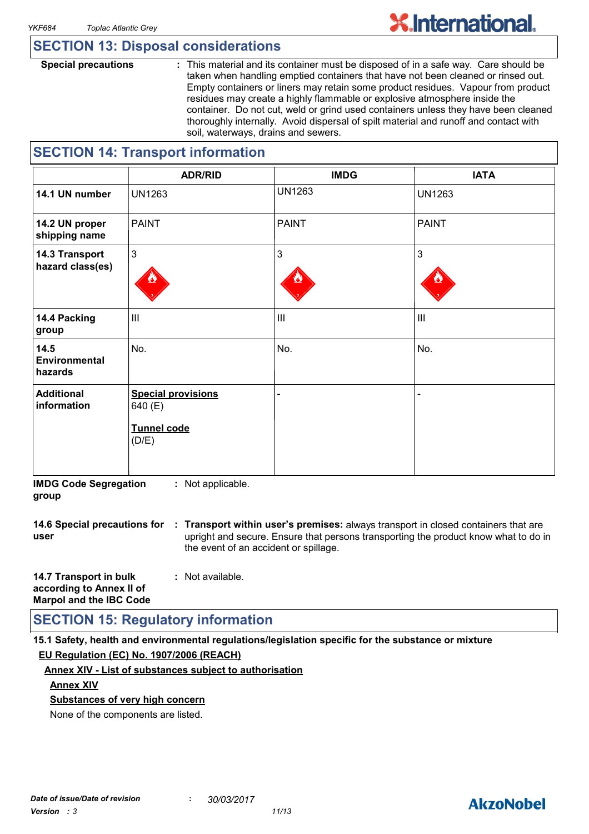## **SECTION 13: Disposal considerations**

**Special precautions :** This material and its container must be disposed of in a safe way. Care should be taken when handling emptied containers that have not been cleaned or rinsed out. Empty containers or liners may retain some product residues. Vapour from product residues may create a highly flammable or explosive atmosphere inside the container. Do not cut, weld or grind used containers unless they have been cleaned thoroughly internally. Avoid dispersal of spilt material and runoff and contact with soil, waterways, drains and sewers.

## **SECTION 14: Transport information**

|                                    | <b>ADR/RID</b>                                                      | <b>IMDG</b>    | <b>IATA</b>    |
|------------------------------------|---------------------------------------------------------------------|----------------|----------------|
| 14.1 UN number                     | <b>UN1263</b>                                                       | <b>UN1263</b>  | <b>UN1263</b>  |
| 14.2 UN proper<br>shipping name    | <b>PAINT</b>                                                        | <b>PAINT</b>   | <b>PAINT</b>   |
| 14.3 Transport<br>hazard class(es) | $\mathbf{3}$                                                        | 3              | $\mathbf{3}$   |
| 14.4 Packing<br>group              | $\mathbf{III}$                                                      | $\mathbf{III}$ | $\mathbf{III}$ |
| 14.5<br>Environmental<br>hazards   | No.                                                                 | No.            | No.            |
| <b>Additional</b><br>information   | <b>Special provisions</b><br>640 (E)<br><b>Tunnel code</b><br>(D/E) |                | -              |

**IMDG Code Segregation group :** Not applicable.

**14.6 Special precautions for : Transport within user's premises:** always transport in closed containers that are **user** upright and secure. Ensure that persons transporting the product know what to do in the event of an accident or spillage.

| 14.7 Transport in bulk         | : Not available. |
|--------------------------------|------------------|
| according to Annex II of       |                  |
| <b>Marpol and the IBC Code</b> |                  |

## **SECTION 15: Regulatory information**

**15.1 Safety, health and environmental regulations/legislation specific for the substance or mixture EU Regulation (EC) No. 1907/2006 (REACH)**

#### **Annex XIV - List of substances subject to authorisation**

#### **Annex XIV**

#### **Substances of very high concern**

None of the components are listed.

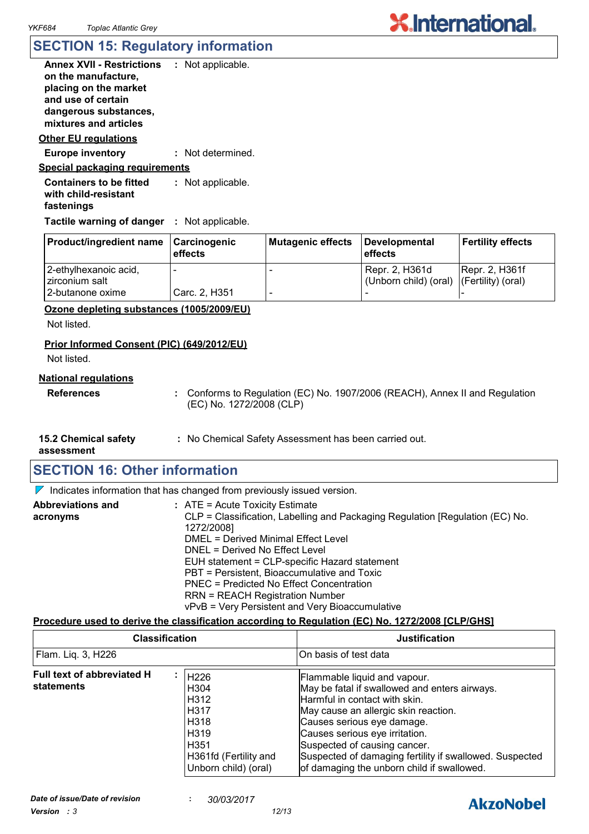## **SECTION 15: Regulatory information**

| Annex XVII - Restrictions<br>on the manufacture.<br>placing on the market<br>and use of certain<br>dangerous substances,<br>mixtures and articles | : Not applicable. |
|---------------------------------------------------------------------------------------------------------------------------------------------------|-------------------|
| Other EU regulations                                                                                                                              |                   |
| <b>Europe inventory</b>                                                                                                                           | : Not determined. |
| <u>Special packaging requirements</u>                                                                                                             |                   |
| <b>Containers to be fitted</b><br>with child-resistant<br>fastenings                                                                              | : Not applicable. |

**Tactile warning of danger : Not applicable.** 

| <b>Product/ingredient name</b> | Carcinogenic<br>effects  | Mutagenic effects | Developmental<br>l effects               | <b>Fertility effects</b> |
|--------------------------------|--------------------------|-------------------|------------------------------------------|--------------------------|
| 2-ethylhexanoic acid,          | $\overline{\phantom{0}}$ |                   | Repr. 2, H361d                           | <b>Repr. 2, H361f</b>    |
| Izirconium salt                |                          |                   | (Unborn child) (oral) (Fertility) (oral) |                          |
| 2-butanone oxime               | Carc. 2, H351            |                   |                                          |                          |

#### **Ozone depleting substances (1005/2009/EU)**

Not listed.

#### **Prior Informed Consent (PIC) (649/2012/EU)**

Not listed.

#### **National regulations**

**References :** Conforms to Regulation (EC) No. 1907/2006 (REACH), Annex II and Regulation (EC) No. 1272/2008 (CLP)

- **15.2 Chemical safety**
- **:** No Chemical Safety Assessment has been carried out.

**assessment**

## **SECTION 16: Other information**

 $\nabla$  Indicates information that has changed from previously issued version.

| <b>Abbreviations and</b> | $:$ ATE = Acute Toxicity Estimate                                             |
|--------------------------|-------------------------------------------------------------------------------|
| acronyms                 | CLP = Classification, Labelling and Packaging Regulation [Regulation (EC) No. |
|                          | 1272/2008]                                                                    |
|                          | <b>DMEL = Derived Minimal Effect Level</b>                                    |
|                          | DNEL = Derived No Effect Level                                                |
|                          | EUH statement = CLP-specific Hazard statement                                 |
|                          | PBT = Persistent, Bioaccumulative and Toxic                                   |
|                          | PNEC = Predicted No Effect Concentration                                      |
|                          | <b>RRN = REACH Registration Number</b>                                        |
|                          | vPvB = Very Persistent and Very Bioaccumulative                               |

#### **Procedure used to derive the classification according to Regulation (EC) No. 1272/2008 [CLP/GHS]**

| <b>Classification</b>                           |                                                                                                                          | <b>Justification</b>                                                                                                                                                                                                                                                                                                                                            |
|-------------------------------------------------|--------------------------------------------------------------------------------------------------------------------------|-----------------------------------------------------------------------------------------------------------------------------------------------------------------------------------------------------------------------------------------------------------------------------------------------------------------------------------------------------------------|
| Flam. Liq. 3, H226                              |                                                                                                                          | On basis of test data                                                                                                                                                                                                                                                                                                                                           |
| <b>Full text of abbreviated H</b><br>statements | H226<br>H <sub>304</sub><br>H312<br><b>H317</b><br>H318<br>H319<br>H351<br>H361fd (Fertility and<br>Unborn child) (oral) | Flammable liquid and vapour.<br>May be fatal if swallowed and enters airways.<br>Harmful in contact with skin.<br>May cause an allergic skin reaction.<br>Causes serious eye damage.<br>Causes serious eye irritation.<br>Suspected of causing cancer.<br>Suspected of damaging fertility if swallowed. Suspected<br>of damaging the unborn child if swallowed. |